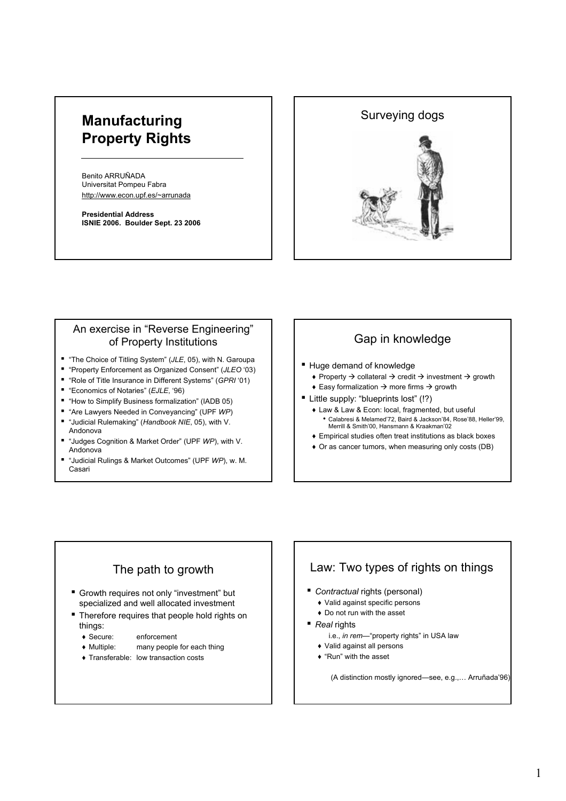# **Manufacturing Property Rights**

Benito ARRUÑADA Universitat Pompeu Fabra http://www.econ.upf.es/~arrunada

**Presidential Address ISNIE 2006. Boulder Sept. 23 2006**



### An exercise in "Reverse Engineering" of Property Institutions

- "The Choice of Titling System" (*JLE*, 05), with N. Garoupa
- "Property Enforcement as Organized Consent" (*JLEO* '03)
- "Role of Title Insurance in Different Systems" (*GPRI* '01)
- "Economics of Notaries" (*EJLE*, '96)
- "How to Simplify Business formalization" (IADB 05)
- "Are Lawyers Needed in Conveyancing" (UPF *WP*)
- "Judicial Rulemaking" (*Handbook NIE*, 05), with V. Andonova
- "Judges Cognition & Market Order" (UPF *WP*), with V. Andonova
- "Judicial Rulings & Market Outcomes" (UPF *WP*), w. M. Casari

# Gap in knowledge

- Huge demand of knowledge
	- $\rightarrow$  Property  $\rightarrow$  collateral  $\rightarrow$  credit  $\rightarrow$  investment  $\rightarrow$  growth
	- $\triangle$  Easy formalization  $\rightarrow$  more firms  $\rightarrow$  growth
- Little supply: "blueprints lost" (!?)
	- ♦ Law & Law & Econ: local, fragmented, but useful • Calabresi & Melamed'72, Baird & Jackson'84, Rose'88, Heller'99, Merrill & Smith'00, Hansmann & Kraakman'02
	- ♦ Empirical studies often treat institutions as black boxes
	- ♦ Or as cancer tumors, when measuring only costs (DB)

# The path to growth

- Growth requires not only "investment" but specialized and well allocated investment
- **Therefore requires that people hold rights on** things:
	- ♦ Secure: enforcement
	- ♦ Multiple: many people for each thing
	- ♦ Transferable: low transaction costs

# Law: Two types of rights on things

- *Contractual* rights (personal)
	- ♦ Valid against specific persons
	- ♦ Do not run with the asset
- *Real* rights
	- i.e., *in rem*—"property rights" in USA law
	- ♦ Valid against all persons
	- ♦ "Run" with the asset

(A distinction mostly ignored—see, e.g.,… Arruñada'96)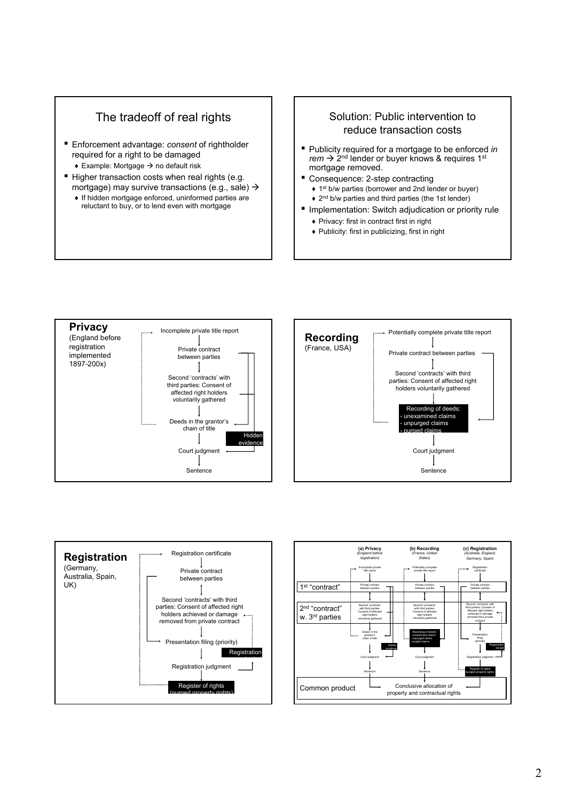# The tradeoff of real rights

- Enforcement advantage: *consent* of rightholder required for a right to be damaged
	- $\triangle$  Example: Mortgage  $\rightarrow$  no default risk
- Higher transaction costs when real rights (e.g. mortgage) may survive transactions (e.g., sale)  $\rightarrow$ 
	- ♦ If hidden mortgage enforced, uninformed parties are reluctant to buy, or to lend even with mortgage

### Solution: Public intervention to reduce transaction costs

- Publicity required for a mortgage to be enforced *in*  $rem \rightarrow 2^{nd}$  lender or buyer knows & requires 1<sup>st</sup> mortgage removed.
- Consequence: 2-step contracting
	- ♦ 1st b/w parties (borrower and 2nd lender or buyer) ♦ 2nd b/w parties and third parties (the 1st lender)
- Implementation: Switch adjudication or priority rule
	- ♦ Privacy: first in contract first in right
	- ♦ Publicity: first in publicizing, first in right







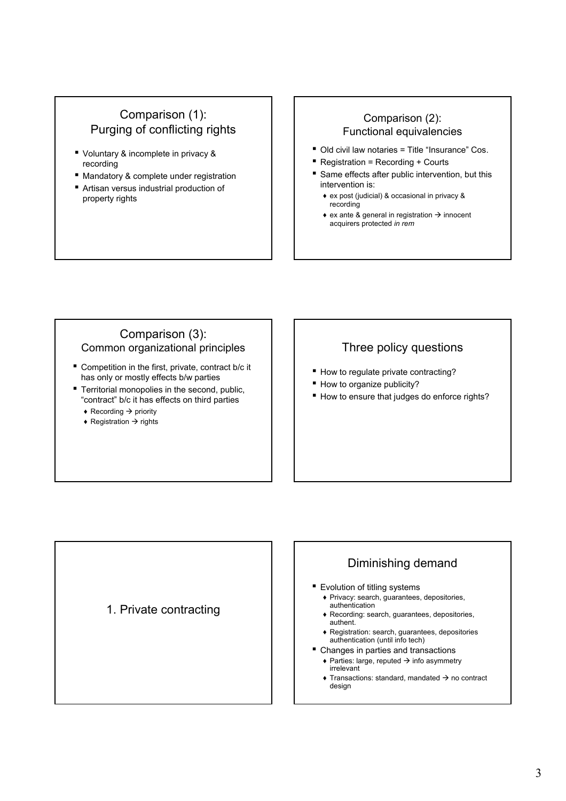# Comparison (1): Purging of conflicting rights

- Voluntary & incomplete in privacy & recording
- Mandatory & complete under registration
- Artisan versus industrial production of property rights

### Comparison (2): Functional equivalencies

- Old civil law notaries = Title "Insurance" Cos.
- Registration = Recording + Courts
- Same effects after public intervention, but this intervention is:
	- ♦ ex post (judicial) & occasional in privacy & recording
	- $\bullet$  ex ante & general in registration  $\rightarrow$  innocent acquirers protected *in rem*

### Comparison (3): Common organizational principles

- Competition in the first, private, contract b/c it has only or mostly effects b/w parties
- **Territorial monopolies in the second, public,** "contract" b/c it has effects on third parties
	- $\triangle$  Recording  $\rightarrow$  priority
	- $\rightarrow$  Registration  $\rightarrow$  rights

# Three policy questions

- How to regulate private contracting?
- How to organize publicity?
- How to ensure that judges do enforce rights?



### Diminishing demand ■ Evolution of titling systems ♦ Privacy: search, guarantees, depositories, authentication ♦ Recording: search, guarantees, depositories, authent. ♦ Registration: search, guarantees, depositories authentication (until info tech) ■ Changes in parties and transactions  $\triangle$  Parties: large, reputed  $\rightarrow$  info asymmetry irrelevant  $\triangle$  Transactions: standard, mandated  $\rightarrow$  no contract design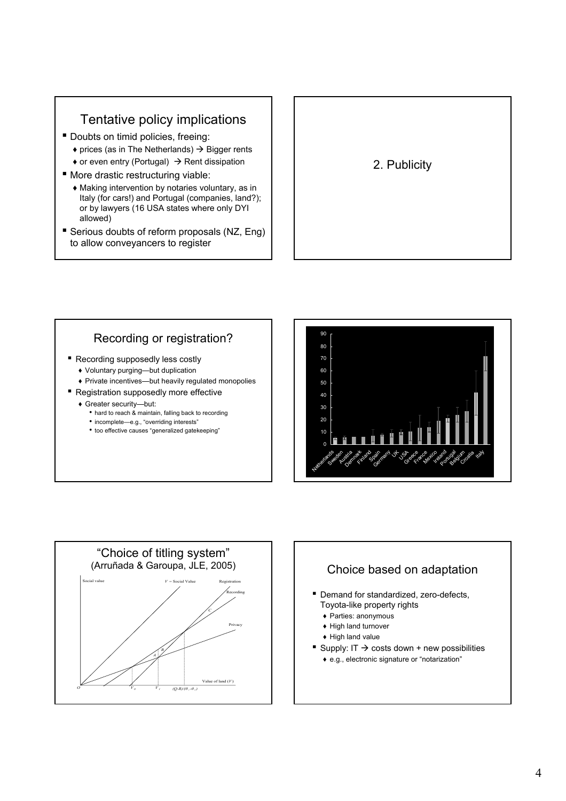# Tentative policy implications

- Doubts on timid policies, freeing:
	- $\rightarrow$  prices (as in The Netherlands)  $\rightarrow$  Bigger rents
	- $\bullet$  or even entry (Portugal)  $\rightarrow$  Rent dissipation
- More drastic restructuring viable:
	- ♦ Making intervention by notaries voluntary, as in Italy (for cars!) and Portugal (companies, land?); or by lawyers (16 USA states where only DYI allowed)
- Serious doubts of reform proposals (NZ, Eng) to allow conveyancers to register

# 2. Publicity

# Recording or registration?

- Recording supposedly less costly
	- ♦ Voluntary purging—but duplication
	- ♦ Private incentives—but heavily regulated monopolies
- Registration supposedly more effective
	- ♦ Greater security—but:
		- hard to reach & maintain, falling back to recording
		- incomplete—e.g., "overriding interests"
		- too effective causes "generalized gatekeeping"